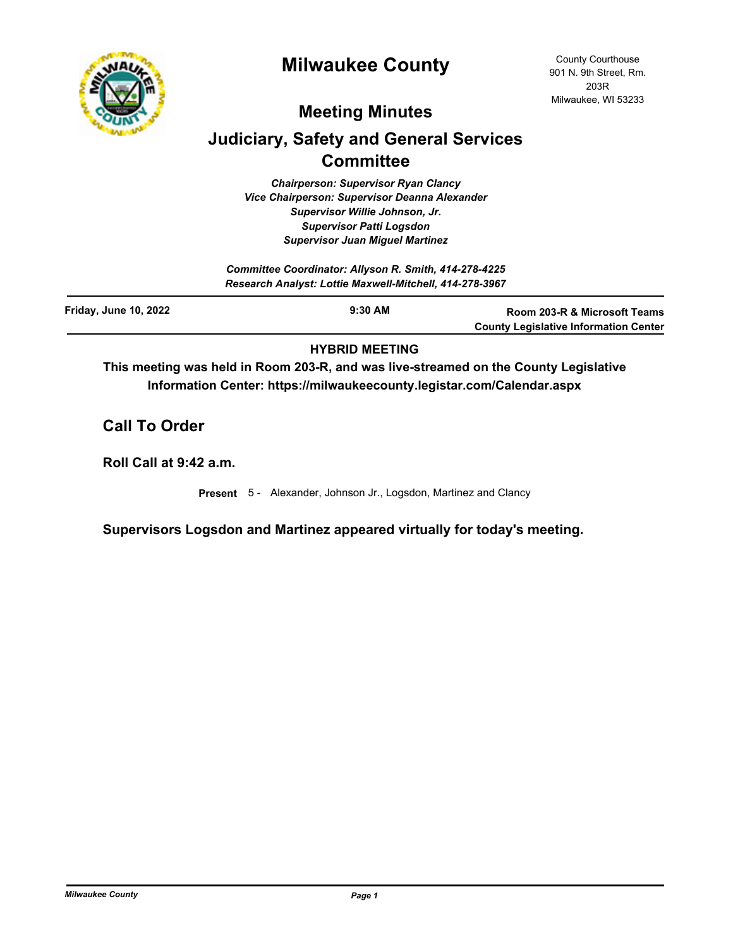

# **Milwaukee County**

# **Meeting Minutes**

# **Judiciary, Safety and General Services Committee**

*Chairperson: Supervisor Ryan Clancy Vice Chairperson: Supervisor Deanna Alexander Supervisor Willie Johnson, Jr. Supervisor Patti Logsdon Supervisor Juan Miguel Martinez*

|                              | Committee Coordinator: Allyson R. Smith, 414-278-4225<br>Research Analyst: Lottie Maxwell-Mitchell, 414-278-3967 |                                                                              |
|------------------------------|------------------------------------------------------------------------------------------------------------------|------------------------------------------------------------------------------|
| <b>Friday, June 10, 2022</b> | $9:30$ AM                                                                                                        | Room 203-R & Microsoft Teams<br><b>County Legislative Information Center</b> |

## **HYBRID MEETING**

**This meeting was held in Room 203-R, and was live-streamed on the County Legislative Information Center: https://milwaukeecounty.legistar.com/Calendar.aspx**

**Call To Order**

**Roll Call at 9:42 a.m.**

**Present** 5 - Alexander, Johnson Jr., Logsdon, Martinez and Clancy

**Supervisors Logsdon and Martinez appeared virtually for today's meeting.**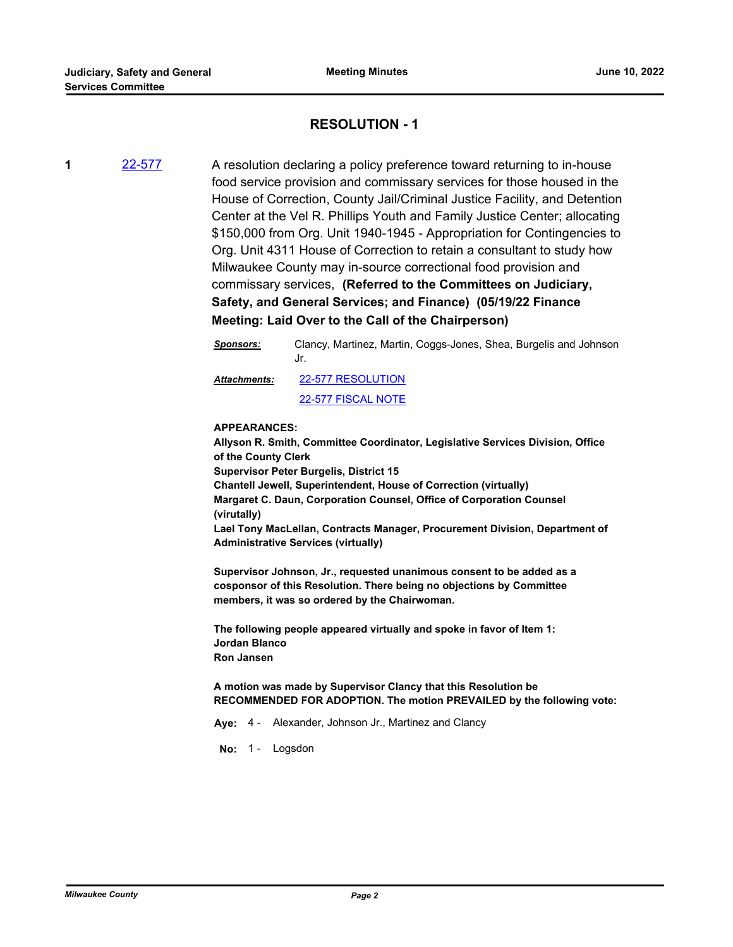## **RESOLUTION - 1**

**1** [22-577](http://milwaukeecounty.legistar.com/gateway.aspx?m=l&id=/matter.aspx?key=12237) A resolution declaring a policy preference toward returning to in-house food service provision and commissary services for those housed in the House of Correction, County Jail/Criminal Justice Facility, and Detention Center at the Vel R. Phillips Youth and Family Justice Center; allocating \$150,000 from Org. Unit 1940-1945 - Appropriation for Contingencies to Org. Unit 4311 House of Correction to retain a consultant to study how Milwaukee County may in-source correctional food provision and commissary services, **(Referred to the Committees on Judiciary, Safety, and General Services; and Finance) (05/19/22 Finance Meeting: Laid Over to the Call of the Chairperson)**

> *Sponsors:* Clancy, Martinez, Martin, Coggs-Jones, Shea, Burgelis and Johnson Jr. [22-577 RESOLUTION](http://MilwaukeeCounty.legistar.com/gateway.aspx?M=F&ID=64860732-bf08-46cb-8496-f08187f6f35d.docx) [22-577 FISCAL NOTE](http://MilwaukeeCounty.legistar.com/gateway.aspx?M=F&ID=b4d503b9-e5fc-4183-b826-7aaef164135c.pdf) *Attachments:*

#### **APPEARANCES:**

**Allyson R. Smith, Committee Coordinator, Legislative Services Division, Office of the County Clerk Supervisor Peter Burgelis, District 15 Chantell Jewell, Superintendent, House of Correction (virtually) Margaret C. Daun, Corporation Counsel, Office of Corporation Counsel (virutally) Lael Tony MacLellan, Contracts Manager, Procurement Division, Department of Administrative Services (virtually)** 

**Supervisor Johnson, Jr., requested unanimous consent to be added as a cosponsor of this Resolution. There being no objections by Committee members, it was so ordered by the Chairwoman.** 

**The following people appeared virtually and spoke in favor of Item 1: Jordan Blanco Ron Jansen**

**A motion was made by Supervisor Clancy that this Resolution be RECOMMENDED FOR ADOPTION. The motion PREVAILED by the following vote:**

**Aye:** 4 - Alexander, Johnson Jr., Martinez and Clancy

No: 1 - Logsdon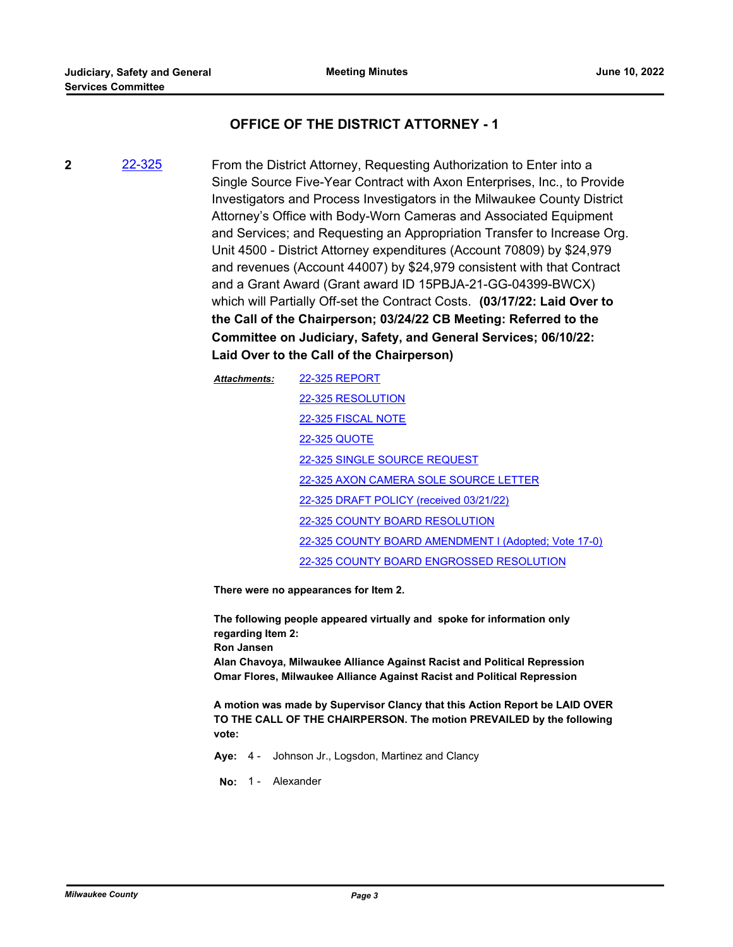## **OFFICE OF THE DISTRICT ATTORNEY - 1**

**2** [22-325](http://milwaukeecounty.legistar.com/gateway.aspx?m=l&id=/matter.aspx?key=11939) From the District Attorney, Requesting Authorization to Enter into a Single Source Five-Year Contract with Axon Enterprises, Inc., to Provide Investigators and Process Investigators in the Milwaukee County District Attorney's Office with Body-Worn Cameras and Associated Equipment and Services; and Requesting an Appropriation Transfer to Increase Org. Unit 4500 - District Attorney expenditures (Account 70809) by \$24,979 and revenues (Account 44007) by \$24,979 consistent with that Contract and a Grant Award (Grant award ID 15PBJA-21-GG-04399-BWCX) which will Partially Off-set the Contract Costs. **(03/17/22: Laid Over to the Call of the Chairperson; 03/24/22 CB Meeting: Referred to the Committee on Judiciary, Safety, and General Services; 06/10/22: Laid Over to the Call of the Chairperson)**

| <b>Attachments:</b> | <b>22-325 REPORT</b>                                 |
|---------------------|------------------------------------------------------|
|                     | 22-325 RESOLUTION                                    |
|                     | 22-325 FISCAL NOTE                                   |
|                     | <b>22-325 QUOTE</b>                                  |
|                     | 22-325 SINGLE SOURCE REQUEST                         |
|                     | 22-325 AXON CAMERA SOLE SOURCE LETTER                |
|                     | 22-325 DRAFT POLICY (received 03/21/22)              |
|                     | 22-325 COUNTY BOARD RESOLUTION                       |
|                     | 22-325 COUNTY BOARD AMENDMENT I (Adopted; Vote 17-0) |
|                     | 22-325 COUNTY BOARD ENGROSSED RESOLUTION             |

**There were no appearances for Item 2.** 

**The following people appeared virtually and spoke for information only regarding Item 2: Ron Jansen Alan Chavoya, Milwaukee Alliance Against Racist and Political Repression Omar Flores, Milwaukee Alliance Against Racist and Political Repression**

**A motion was made by Supervisor Clancy that this Action Report be LAID OVER TO THE CALL OF THE CHAIRPERSON. The motion PREVAILED by the following vote:**

**Aye:** 4 - Johnson Jr., Logsdon, Martinez and Clancy

**No:** 1 - Alexander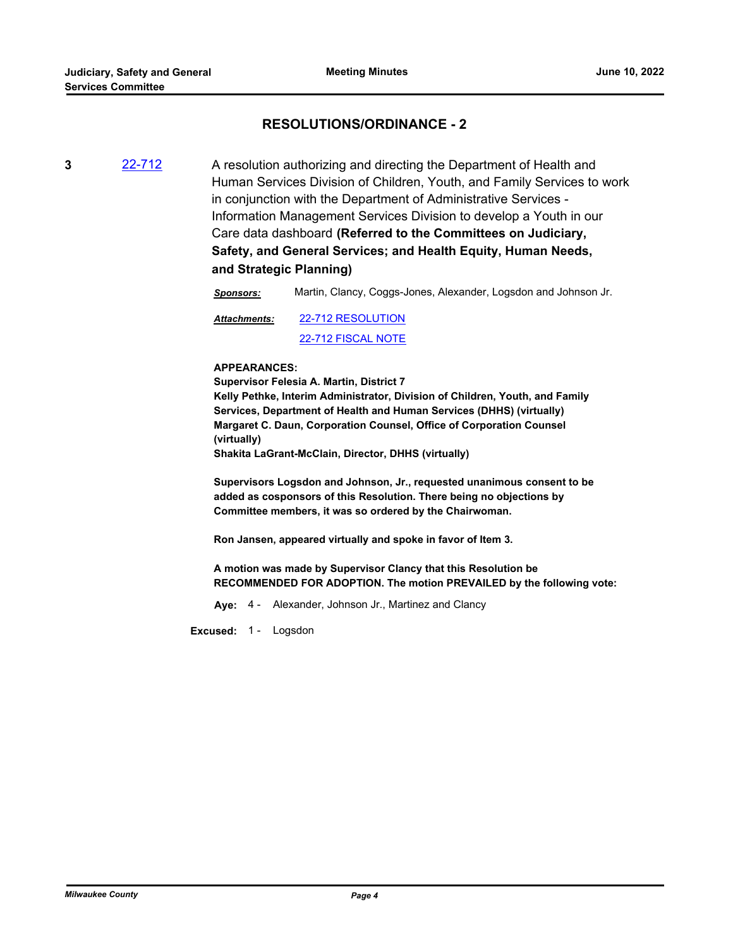## **RESOLUTIONS/ORDINANCE - 2**

**3** [22-712](http://milwaukeecounty.legistar.com/gateway.aspx?m=l&id=/matter.aspx?key=12411) A resolution authorizing and directing the Department of Health and Human Services Division of Children, Youth, and Family Services to work in conjunction with the Department of Administrative Services - Information Management Services Division to develop a Youth in our Care data dashboard **(Referred to the Committees on Judiciary, Safety, and General Services; and Health Equity, Human Needs, and Strategic Planning)**

*Sponsors:* Martin, Clancy, Coggs-Jones, Alexander, Logsdon and Johnson Jr.

[22-712 RESOLUTION](http://MilwaukeeCounty.legistar.com/gateway.aspx?M=F&ID=dd78eaf1-c607-4ef5-9595-748ac663e145.docx) [22-712 FISCAL NOTE](http://MilwaukeeCounty.legistar.com/gateway.aspx?M=F&ID=1ef08ae8-561f-41bb-87bf-af01b345001d.pdf) *Attachments:*

#### **APPEARANCES:**

**Supervisor Felesia A. Martin, District 7 Kelly Pethke, Interim Administrator, Division of Children, Youth, and Family Services, Department of Health and Human Services (DHHS) (virtually) Margaret C. Daun, Corporation Counsel, Office of Corporation Counsel (virtually) Shakita LaGrant-McClain, Director, DHHS (virtually)** 

**Supervisors Logsdon and Johnson, Jr., requested unanimous consent to be added as cosponsors of this Resolution. There being no objections by Committee members, it was so ordered by the Chairwoman.** 

**Ron Jansen, appeared virtually and spoke in favor of Item 3.**

**A motion was made by Supervisor Clancy that this Resolution be RECOMMENDED FOR ADOPTION. The motion PREVAILED by the following vote:**

**Aye:** 4 - Alexander, Johnson Jr., Martinez and Clancy

**Excused:** 1 - Logsdon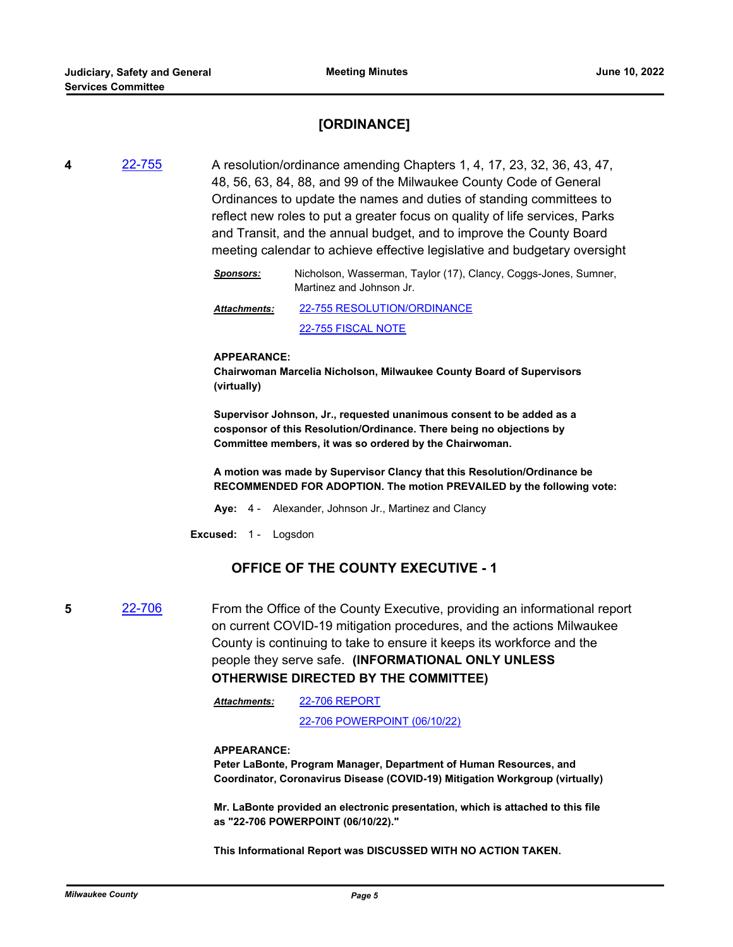## **[ORDINANCE]**

**4** [22-755](http://milwaukeecounty.legistar.com/gateway.aspx?m=l&id=/matter.aspx?key=12463) A resolution/ordinance amending Chapters 1, 4, 17, 23, 32, 36, 43, 47, 48, 56, 63, 84, 88, and 99 of the Milwaukee County Code of General Ordinances to update the names and duties of standing committees to reflect new roles to put a greater focus on quality of life services, Parks and Transit, and the annual budget, and to improve the County Board meeting calendar to achieve effective legislative and budgetary oversight

> *Sponsors:* Nicholson, Wasserman, Taylor (17), Clancy, Coggs-Jones, Sumner, Martinez and Johnson Jr.

[22-755 RESOLUTION/ORDINANCE](http://MilwaukeeCounty.legistar.com/gateway.aspx?M=F&ID=246fe31c-0c21-47cc-b7d0-16946bcac4ce.docx) *Attachments:*

[22-755 FISCAL NOTE](http://MilwaukeeCounty.legistar.com/gateway.aspx?M=F&ID=e16e02dd-9066-4f28-a956-b3219eb96afc.pdf)

#### **APPEARANCE:**

**Chairwoman Marcelia Nicholson, Milwaukee County Board of Supervisors (virtually)** 

**Supervisor Johnson, Jr., requested unanimous consent to be added as a cosponsor of this Resolution/Ordinance. There being no objections by Committee members, it was so ordered by the Chairwoman.**

**A motion was made by Supervisor Clancy that this Resolution/Ordinance be RECOMMENDED FOR ADOPTION. The motion PREVAILED by the following vote:**

**Aye:** 4 - Alexander, Johnson Jr., Martinez and Clancy

**Excused:** 1 - Logsdon

## **OFFICE OF THE COUNTY EXECUTIVE - 1**

**5** [22-706](http://milwaukeecounty.legistar.com/gateway.aspx?m=l&id=/matter.aspx?key=12405) From the Office of the County Executive, providing an informational report on current COVID-19 mitigation procedures, and the actions Milwaukee County is continuing to take to ensure it keeps its workforce and the people they serve safe. **(INFORMATIONAL ONLY UNLESS OTHERWISE DIRECTED BY THE COMMITTEE)**

> [22-706 REPORT](http://MilwaukeeCounty.legistar.com/gateway.aspx?M=F&ID=58744045-f0be-4442-a278-d4f3bc341e01.pdf) *Attachments:*

> > [22-706 POWERPOINT \(06/10/22\)](http://MilwaukeeCounty.legistar.com/gateway.aspx?M=F&ID=b09a72a5-b2b6-49e7-a5f9-eec5e1e0ffe0.pdf)

#### **APPEARANCE:**

**Peter LaBonte, Program Manager, Department of Human Resources, and Coordinator, Coronavirus Disease (COVID-19) Mitigation Workgroup (virtually)** 

**Mr. LaBonte provided an electronic presentation, which is attached to this file as "22-706 POWERPOINT (06/10/22)."**

**This Informational Report was DISCUSSED WITH NO ACTION TAKEN.**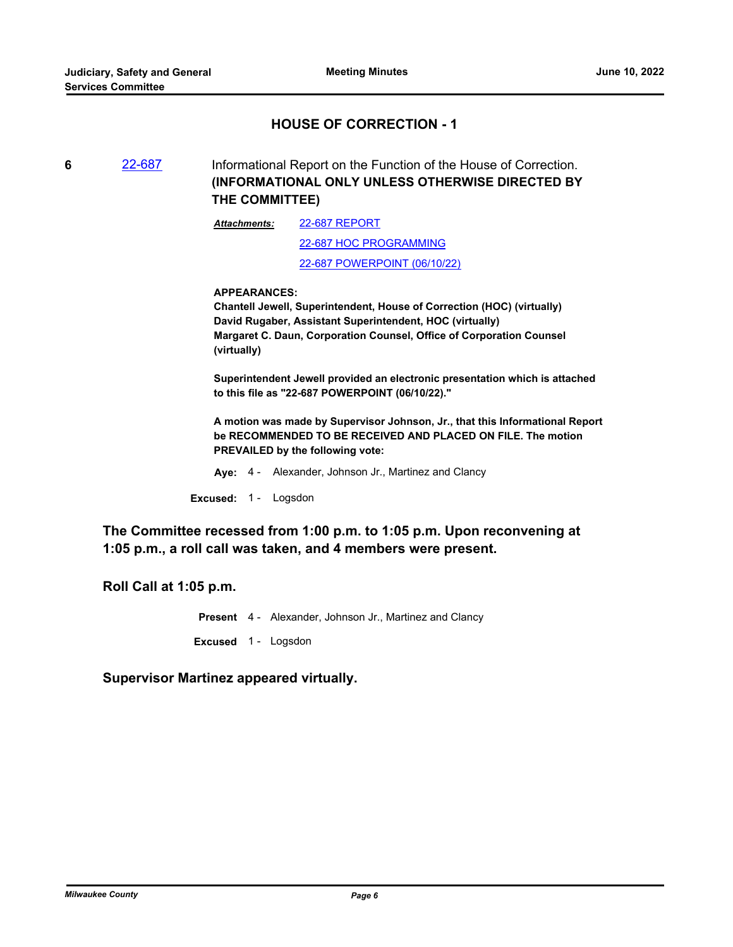## **HOUSE OF CORRECTION - 1**

**6** [22-687](http://milwaukeecounty.legistar.com/gateway.aspx?m=l&id=/matter.aspx?key=12386) Informational Report on the Function of the House of Correction. **(INFORMATIONAL ONLY UNLESS OTHERWISE DIRECTED BY THE COMMITTEE)**

> [22-687 REPORT](http://MilwaukeeCounty.legistar.com/gateway.aspx?M=F&ID=1eb16748-713c-4e04-8ff8-741d4c44c376.pdf) [22-687 HOC PROGRAMMING](http://MilwaukeeCounty.legistar.com/gateway.aspx?M=F&ID=70a52f10-f198-4394-bffc-7c9535efd03f.pdf) [22-687 POWERPOINT \(06/10/22\)](http://MilwaukeeCounty.legistar.com/gateway.aspx?M=F&ID=16de776b-36c3-43df-81d9-3643009f377c.pdf) *Attachments:*

### **APPEARANCES:**

**Chantell Jewell, Superintendent, House of Correction (HOC) (virtually) David Rugaber, Assistant Superintendent, HOC (virtually) Margaret C. Daun, Corporation Counsel, Office of Corporation Counsel (virtually)** 

**Superintendent Jewell provided an electronic presentation which is attached to this file as "22-687 POWERPOINT (06/10/22)."**

**A motion was made by Supervisor Johnson, Jr., that this Informational Report be RECOMMENDED TO BE RECEIVED AND PLACED ON FILE. The motion PREVAILED by the following vote:**

**Aye:** 4 - Alexander, Johnson Jr., Martinez and Clancy

**Excused:** 1 - Logsdon

**The Committee recessed from 1:00 p.m. to 1:05 p.m. Upon reconvening at 1:05 p.m., a roll call was taken, and 4 members were present.**

**Roll Call at 1:05 p.m.**

**Present** 4 - Alexander, Johnson Jr., Martinez and Clancy

**Excused** 1 - Logsdon

**Supervisor Martinez appeared virtually.**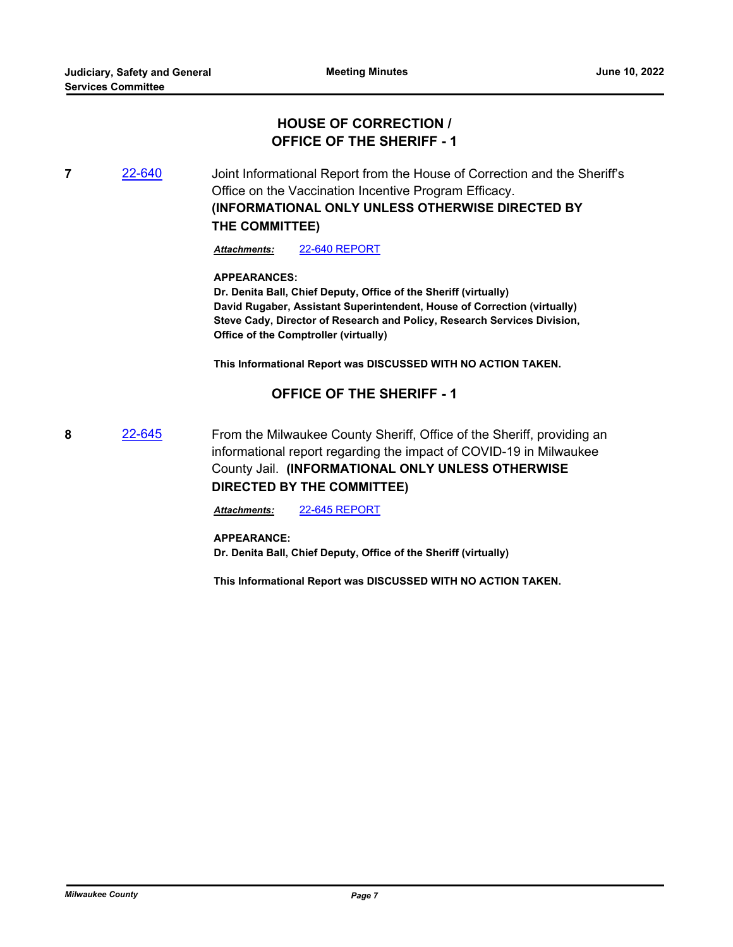## **HOUSE OF CORRECTION / OFFICE OF THE SHERIFF - 1**

**7** [22-640](http://milwaukeecounty.legistar.com/gateway.aspx?m=l&id=/matter.aspx?key=12307) Joint Informational Report from the House of Correction and the Sheriff's Office on the Vaccination Incentive Program Efficacy. **(INFORMATIONAL ONLY UNLESS OTHERWISE DIRECTED BY THE COMMITTEE)**

*Attachments:* [22-640 REPORT](http://MilwaukeeCounty.legistar.com/gateway.aspx?M=F&ID=482deecc-299b-4f61-9f91-ea932096bf21.pdf)

**APPEARANCES:**

**Dr. Denita Ball, Chief Deputy, Office of the Sheriff (virtually) David Rugaber, Assistant Superintendent, House of Correction (virtually) Steve Cady, Director of Research and Policy, Research Services Division, Office of the Comptroller (virtually)**

**This Informational Report was DISCUSSED WITH NO ACTION TAKEN.**

## **OFFICE OF THE SHERIFF - 1**

**8** [22-645](http://milwaukeecounty.legistar.com/gateway.aspx?m=l&id=/matter.aspx?key=12313) From the Milwaukee County Sheriff, Office of the Sheriff, providing an informational report regarding the impact of COVID-19 in Milwaukee County Jail. **(INFORMATIONAL ONLY UNLESS OTHERWISE DIRECTED BY THE COMMITTEE)**

*Attachments:* [22-645 REPORT](http://MilwaukeeCounty.legistar.com/gateway.aspx?M=F&ID=032fe99c-8a87-4858-81f4-4cdc856b02d2.docx)

#### **APPEARANCE:**

**Dr. Denita Ball, Chief Deputy, Office of the Sheriff (virtually)**

**This Informational Report was DISCUSSED WITH NO ACTION TAKEN.**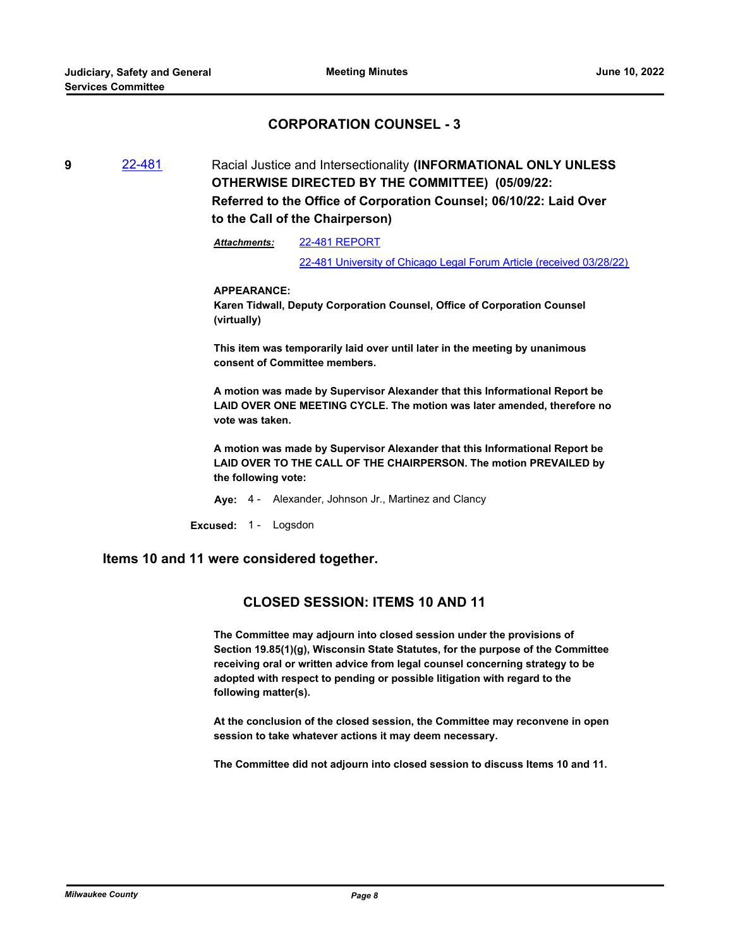## **CORPORATION COUNSEL - 3**

**9** [22-481](http://milwaukeecounty.legistar.com/gateway.aspx?m=l&id=/matter.aspx?key=12132) Racial Justice and Intersectionality **(INFORMATIONAL ONLY UNLESS OTHERWISE DIRECTED BY THE COMMITTEE) (05/09/22: Referred to the Office of Corporation Counsel; 06/10/22: Laid Over to the Call of the Chairperson)**

> [22-481 REPORT](http://MilwaukeeCounty.legistar.com/gateway.aspx?M=F&ID=c8216d6a-9aa9-4053-b39a-8c8ba66beb90.pdf) [22-481 University of Chicago Legal Forum Article \(received 03/28/22\)](http://MilwaukeeCounty.legistar.com/gateway.aspx?M=F&ID=10b1abdb-917d-4d0e-b581-bb128fe74f8a.pdf) *Attachments:*

#### **APPEARANCE:**

**Karen Tidwall, Deputy Corporation Counsel, Office of Corporation Counsel (virtually)**

**This item was temporarily laid over until later in the meeting by unanimous consent of Committee members.** 

**A motion was made by Supervisor Alexander that this Informational Report be LAID OVER ONE MEETING CYCLE. The motion was later amended, therefore no vote was taken.** 

**A motion was made by Supervisor Alexander that this Informational Report be LAID OVER TO THE CALL OF THE CHAIRPERSON. The motion PREVAILED by the following vote:**

**Aye:** 4 - Alexander, Johnson Jr., Martinez and Clancy

**Excused:** 1 - Logsdon

### **Items 10 and 11 were considered together.**

## **CLOSED SESSION: ITEMS 10 AND 11**

**The Committee may adjourn into closed session under the provisions of Section 19.85(1)(g), Wisconsin State Statutes, for the purpose of the Committee receiving oral or written advice from legal counsel concerning strategy to be adopted with respect to pending or possible litigation with regard to the following matter(s).** 

**At the conclusion of the closed session, the Committee may reconvene in open session to take whatever actions it may deem necessary.** 

**The Committee did not adjourn into closed session to discuss Items 10 and 11.**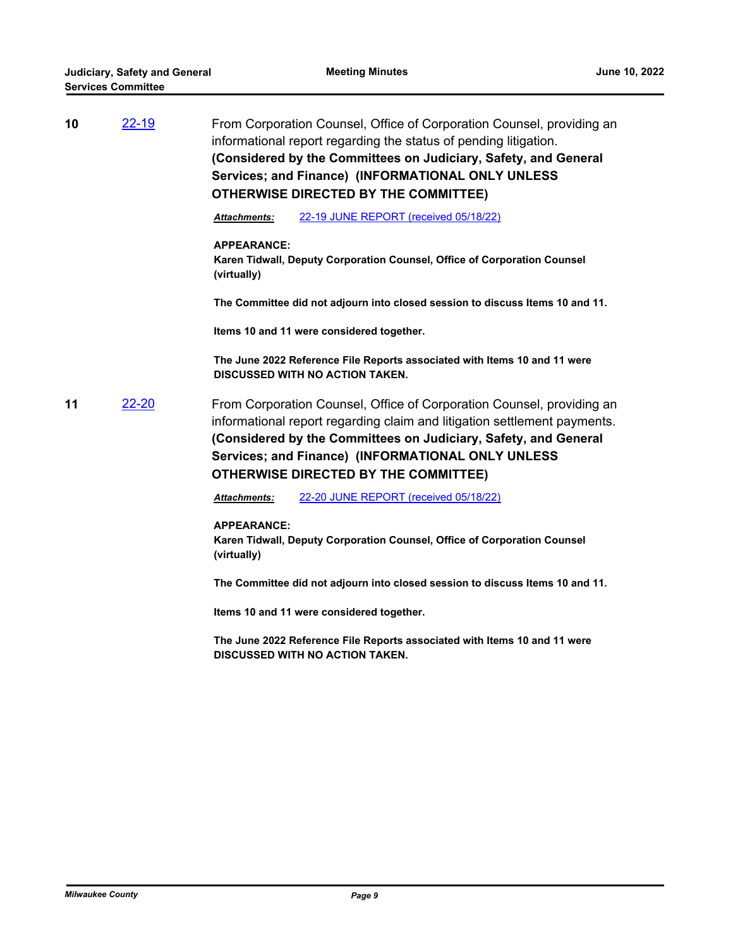| 10 | $22 - 19$ | From Corporation Counsel, Office of Corporation Counsel, providing an<br>informational report regarding the status of pending litigation.<br>(Considered by the Committees on Judiciary, Safety, and General<br>Services; and Finance) (INFORMATIONAL ONLY UNLESS<br><b>OTHERWISE DIRECTED BY THE COMMITTEE)</b>         |  |
|----|-----------|--------------------------------------------------------------------------------------------------------------------------------------------------------------------------------------------------------------------------------------------------------------------------------------------------------------------------|--|
|    |           | 22-19 JUNE REPORT (received 05/18/22)<br><b>Attachments:</b>                                                                                                                                                                                                                                                             |  |
|    |           | <b>APPEARANCE:</b><br>Karen Tidwall, Deputy Corporation Counsel, Office of Corporation Counsel<br>(virtually)                                                                                                                                                                                                            |  |
|    |           | The Committee did not adjourn into closed session to discuss Items 10 and 11.                                                                                                                                                                                                                                            |  |
|    |           | Items 10 and 11 were considered together.                                                                                                                                                                                                                                                                                |  |
|    |           | The June 2022 Reference File Reports associated with Items 10 and 11 were<br><b>DISCUSSED WITH NO ACTION TAKEN.</b>                                                                                                                                                                                                      |  |
| 11 | 22-20     | From Corporation Counsel, Office of Corporation Counsel, providing an<br>informational report regarding claim and litigation settlement payments.<br>(Considered by the Committees on Judiciary, Safety, and General<br>Services; and Finance) (INFORMATIONAL ONLY UNLESS<br><b>OTHERWISE DIRECTED BY THE COMMITTEE)</b> |  |
|    |           | 22-20 JUNE REPORT (received 05/18/22)<br><b>Attachments:</b>                                                                                                                                                                                                                                                             |  |
|    |           | <b>APPEARANCE:</b><br>Karen Tidwall, Deputy Corporation Counsel, Office of Corporation Counsel<br>(virtually)                                                                                                                                                                                                            |  |
|    |           | The Committee did not adjourn into closed session to discuss Items 10 and 11.                                                                                                                                                                                                                                            |  |
|    |           | Items 10 and 11 were considered together.                                                                                                                                                                                                                                                                                |  |
|    |           | The June 2022 Reference File Reports associated with Items 10 and 11 were<br><b>DISCUSSED WITH NO ACTION TAKEN.</b>                                                                                                                                                                                                      |  |